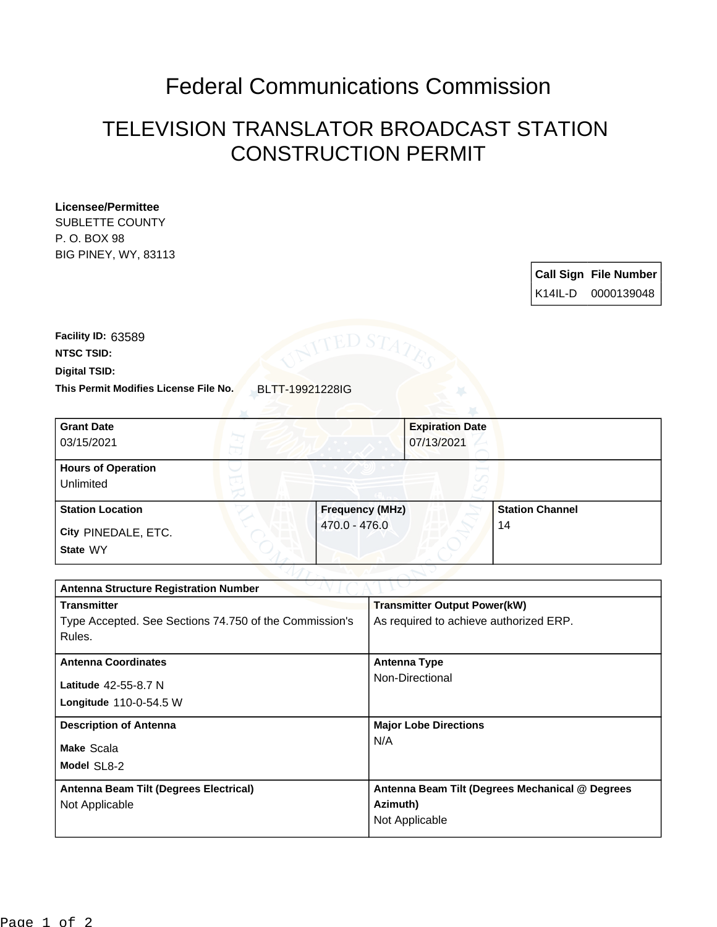## Federal Communications Commission

## TELEVISION TRANSLATOR BROADCAST STATION CONSTRUCTION PERMIT

## **Licensee/Permittee**

SUBLETTE COUNTY P. O. BOX 98 BIG PINEY, WY, 83113

| <b>Call Sign File Number</b> |
|------------------------------|
| K14IL-D 0000139048           |

**This Permit Modifies License File No.** BLTT-19921228IG **Digital TSID: NTSC TSID: Facility ID:** 63589

| <b>Grant Date</b><br>03/15/2021        | <b>Expiration Date</b><br>07/13/2021 |                        |
|----------------------------------------|--------------------------------------|------------------------|
| <b>Hours of Operation</b><br>Unlimited | $\sim$                               |                        |
| <b>Station Location</b>                | <b>Frequency (MHz)</b>               | <b>Station Channel</b> |
| City PINEDALE, ETC.<br>State WY        | 470.0 - 476.0                        | 14                     |

| <b>Antenna Structure Registration Number</b>           |                                                 |  |  |
|--------------------------------------------------------|-------------------------------------------------|--|--|
| <b>Transmitter</b>                                     | <b>Transmitter Output Power(kW)</b>             |  |  |
| Type Accepted. See Sections 74.750 of the Commission's | As required to achieve authorized ERP.          |  |  |
| Rules.                                                 |                                                 |  |  |
| <b>Antenna Coordinates</b>                             | <b>Antenna Type</b>                             |  |  |
| Latitude 42-55-8.7 N                                   | Non-Directional                                 |  |  |
| Longitude 110-0-54.5 W                                 |                                                 |  |  |
| <b>Description of Antenna</b>                          | <b>Major Lobe Directions</b>                    |  |  |
| Make Scala                                             | N/A                                             |  |  |
| Model SL8-2                                            |                                                 |  |  |
| Antenna Beam Tilt (Degrees Electrical)                 | Antenna Beam Tilt (Degrees Mechanical @ Degrees |  |  |
| Not Applicable                                         | Azimuth)                                        |  |  |
|                                                        | Not Applicable                                  |  |  |